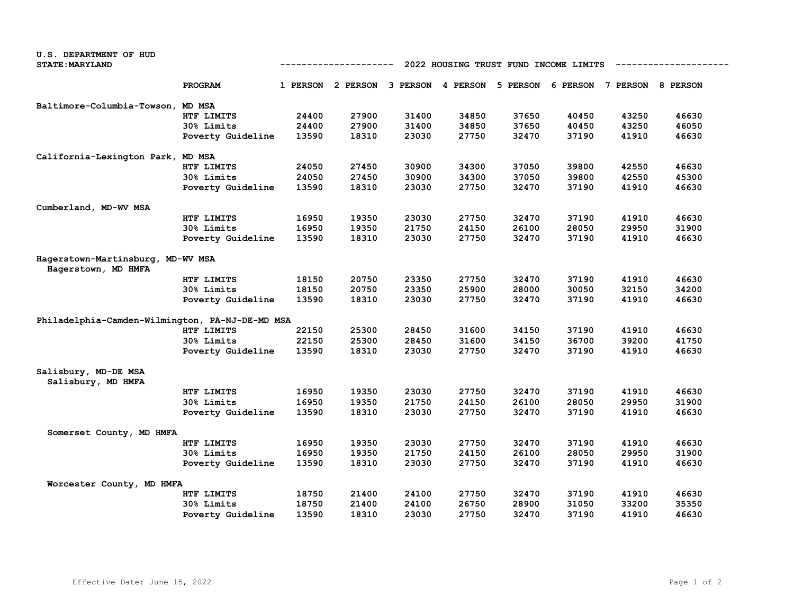| U.S. DEPARTMENT OF HUD                          |                   |                                                     |                                     |       |       |          |       |                            |       |
|-------------------------------------------------|-------------------|-----------------------------------------------------|-------------------------------------|-------|-------|----------|-------|----------------------------|-------|
| <b>STATE: MARYLAND</b>                          |                   | 2022 HOUSING TRUST FUND INCOME LIMITS<br>---------- |                                     |       |       |          |       |                            |       |
|                                                 | PROGRAM           |                                                     | 1 PERSON 2 PERSON 3 PERSON 4 PERSON |       |       | 5 PERSON |       | 6 PERSON 7 PERSON 8 PERSON |       |
| Baltimore-Columbia-Towson,                      | <b>MD MSA</b>     |                                                     |                                     |       |       |          |       |                            |       |
|                                                 | HTF LIMITS        | 24400                                               | 27900                               | 31400 | 34850 | 37650    | 40450 | 43250                      | 46630 |
|                                                 | 30% Limits        | 24400                                               | 27900                               | 31400 | 34850 | 37650    | 40450 | 43250                      | 46050 |
|                                                 | Poverty Guideline | 13590                                               | 18310                               | 23030 | 27750 | 32470    | 37190 | 41910                      | 46630 |
| California-Lexington Park, MD MSA               |                   |                                                     |                                     |       |       |          |       |                            |       |
|                                                 | HTF LIMITS        | 24050                                               | 27450                               | 30900 | 34300 | 37050    | 39800 | 42550                      | 46630 |
|                                                 | 30% Limits        | 24050                                               | 27450                               | 30900 | 34300 | 37050    | 39800 | 42550                      | 45300 |
|                                                 | Poverty Guideline | 13590                                               | 18310                               | 23030 | 27750 | 32470    | 37190 | 41910                      | 46630 |
| Cumberland, MD-WV MSA                           |                   |                                                     |                                     |       |       |          |       |                            |       |
|                                                 | HTF LIMITS        | 16950                                               | 19350                               | 23030 | 27750 | 32470    | 37190 | 41910                      | 46630 |
|                                                 | 30% Limits        | 16950                                               | 19350                               | 21750 | 24150 | 26100    | 28050 | 29950                      | 31900 |
|                                                 | Poverty Guideline | 13590                                               | 18310                               | 23030 | 27750 | 32470    | 37190 | 41910                      | 46630 |
| Hagerstown-Martinsburg, MD-WV MSA               |                   |                                                     |                                     |       |       |          |       |                            |       |
| Hagerstown, MD HMFA                             |                   |                                                     |                                     |       |       |          |       |                            |       |
|                                                 | HTF LIMITS        | 18150                                               | 20750                               | 23350 | 27750 | 32470    | 37190 | 41910                      | 46630 |
|                                                 | 30% Limits        | 18150                                               | 20750                               | 23350 | 25900 | 28000    | 30050 | 32150                      | 34200 |
|                                                 | Poverty Guideline | 13590                                               | 18310                               | 23030 | 27750 | 32470    | 37190 | 41910                      | 46630 |
| Philadelphia-Camden-Wilmington, PA-NJ-DE-MD MSA |                   |                                                     |                                     |       |       |          |       |                            |       |
|                                                 | HTF LIMITS        | 22150                                               | 25300                               | 28450 | 31600 | 34150    | 37190 | 41910                      | 46630 |
|                                                 | 30% Limits        | 22150                                               | 25300                               | 28450 | 31600 | 34150    | 36700 | 39200                      | 41750 |
|                                                 | Poverty Guideline | 13590                                               | 18310                               | 23030 | 27750 | 32470    | 37190 | 41910                      | 46630 |
| Salisbury, MD-DE MSA                            |                   |                                                     |                                     |       |       |          |       |                            |       |
| Salisbury, MD HMFA                              |                   |                                                     |                                     |       |       |          |       |                            |       |
|                                                 | HTF LIMITS        | 16950                                               | 19350                               | 23030 | 27750 | 32470    | 37190 | 41910                      | 46630 |
|                                                 | 30% Limits        | 16950                                               | 19350                               | 21750 | 24150 | 26100    | 28050 | 29950                      | 31900 |
|                                                 | Poverty Guideline | 13590                                               | 18310                               | 23030 | 27750 | 32470    | 37190 | 41910                      | 46630 |
| Somerset County, MD HMFA                        |                   |                                                     |                                     |       |       |          |       |                            |       |
|                                                 | HTF LIMITS        | 16950                                               | 19350                               | 23030 | 27750 | 32470    | 37190 | 41910                      | 46630 |
|                                                 | 30% Limits        | 16950                                               | 19350                               | 21750 | 24150 | 26100    | 28050 | 29950                      | 31900 |
|                                                 | Poverty Guideline | 13590                                               | 18310                               | 23030 | 27750 | 32470    | 37190 | 41910                      | 46630 |
| Worcester County, MD HMFA                       |                   |                                                     |                                     |       |       |          |       |                            |       |
|                                                 | HTF LIMITS        | 18750                                               | 21400                               | 24100 | 27750 | 32470    | 37190 | 41910                      | 46630 |
|                                                 | 30% Limits        | 18750                                               | 21400                               | 24100 | 26750 | 28900    | 31050 | 33200                      | 35350 |
|                                                 | Poverty Guideline | 13590                                               | 18310                               | 23030 | 27750 | 32470    | 37190 | 41910                      | 46630 |